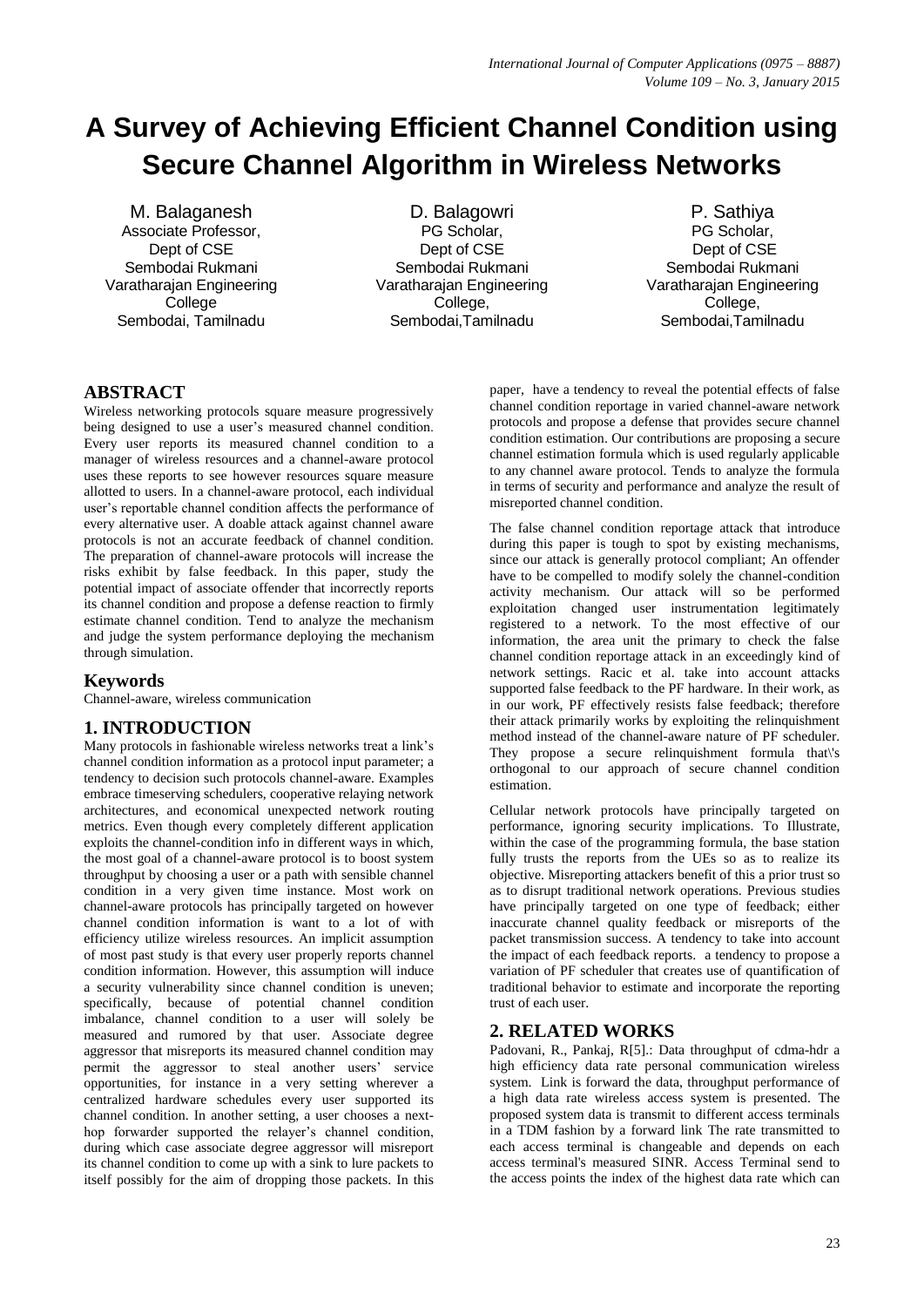# **A Survey of Achieving Efficient Channel Condition using Secure Channel Algorithm in Wireless Networks**

M. Balaganesh Associate Professor, Dept of CSE Sembodai Rukmani Varatharajan Engineering College Sembodai, Tamilnadu

D. Balagowri PG Scholar. Dept of CSE Sembodai Rukmani Varatharajan Engineering College. Sembodai,Tamilnadu

P. Sathiya PG Scholar. Dept of CSE Sembodai Rukmani Varatharajan Engineering College. Sembodai,Tamilnadu

## **ABSTRACT**

Wireless networking protocols square measure progressively being designed to use a user's measured channel condition. Every user reports its measured channel condition to a manager of wireless resources and a channel-aware protocol uses these reports to see however resources square measure allotted to users. In a channel-aware protocol, each individual user's reportable channel condition affects the performance of every alternative user. A doable attack against channel aware protocols is not an accurate feedback of channel condition. The preparation of channel-aware protocols will increase the risks exhibit by false feedback. In this paper, study the potential impact of associate offender that incorrectly reports its channel condition and propose a defense reaction to firmly estimate channel condition. Tend to analyze the mechanism and judge the system performance deploying the mechanism through simulation.

### **Keywords**

Channel-aware, wireless communication

## **1. INTRODUCTION**

Many protocols in fashionable wireless networks treat a link's channel condition information as a protocol input parameter; a tendency to decision such protocols channel-aware. Examples embrace timeserving schedulers, cooperative relaying network architectures, and economical unexpected network routing metrics. Even though every completely different application exploits the channel-condition info in different ways in which, the most goal of a channel-aware protocol is to boost system throughput by choosing a user or a path with sensible channel condition in a very given time instance. Most work on channel-aware protocols has principally targeted on however channel condition information is want to a lot of with efficiency utilize wireless resources. An implicit assumption of most past study is that every user properly reports channel condition information. However, this assumption will induce a security vulnerability since channel condition is uneven; specifically, because of potential channel condition imbalance, channel condition to a user will solely be measured and rumored by that user. Associate degree aggressor that misreports its measured channel condition may permit the aggressor to steal another users' service opportunities, for instance in a very setting wherever a centralized hardware schedules every user supported its channel condition. In another setting, a user chooses a nexthop forwarder supported the relayer's channel condition. during which case associate degree aggressor will misreport its channel condition to come up with a sink to lure packets to itself possibly for the aim of dropping those packets. In this

paper, have a tendency to reveal the potential effects of false channel condition reportage in varied channel-aware network protocols and propose a defense that provides secure channel condition estimation. Our contributions are proposing a secure channel estimation formula which is used regularly applicable to any channel aware protocol. Tends to analyze the formula in terms of security and performance and analyze the result of misreported channel condition.

The false channel condition reportage attack that introduce during this paper is tough to spot by existing mechanisms, since our attack is generally protocol compliant; An offender have to be compelled to modify solely the channel-condition activity mechanism. Our attack will so be performed exploitation changed user instrumentation legitimately registered to a network. To the most effective of our information, the area unit the primary to check the false channel condition reportage attack in an exceedingly kind of network settings. Racic et al. take into account attacks supported false feedback to the PF hardware. In their work, as in our work, PF effectively resists false feedback; therefore their attack primarily works by exploiting the relinquishment method instead of the channel-aware nature of PF scheduler. They propose a secure relinquishment formula that\'s orthogonal to our approach of secure channel condition estimation.

Cellular network protocols have principally targeted on performance, ignoring security implications. To Illustrate, within the case of the programming formula, the base station fully trusts the reports from the UEs so as to realize its objective. Misreporting attackers benefit of this a prior trust so as to disrupt traditional network operations. Previous studies have principally targeted on one type of feedback; either inaccurate channel quality feedback or misreports of the packet transmission success. A tendency to take into account the impact of each feedback reports. a tendency to propose a variation of PF scheduler that creates use of quantification of traditional behavior to estimate and incorporate the reporting trust of each user.

## **2. RELATED WORKS**

Padovani, R., Pankaj, R[5].: Data throughput of cdma-hdr a high efficiency data rate personal communication wireless system. Link is forward the data, throughput performance of a high data rate wireless access system is presented. The proposed system data is transmit to different access terminals in a TDM fashion by a forward link The rate transmitted to each access terminal is changeable and depends on each access terminal's measured SINR. Access Terminal send to the access points the index of the highest data rate which can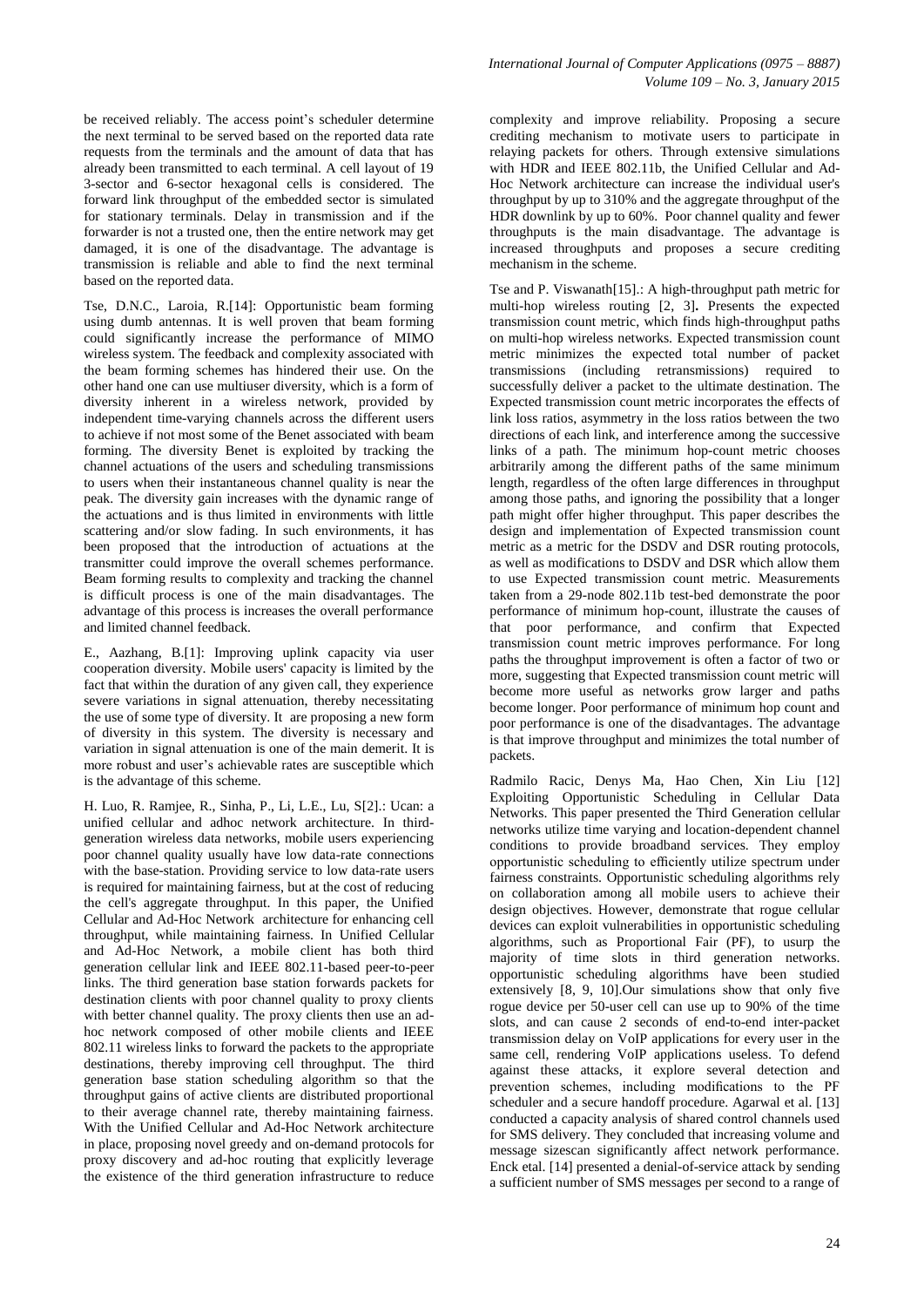be received reliably. The access point's scheduler determine the next terminal to be served based on the reported data rate requests from the terminals and the amount of data that has already been transmitted to each terminal. A cell layout of 19 3-sector and 6-sector hexagonal cells is considered. The forward link throughput of the embedded sector is simulated for stationary terminals. Delay in transmission and if the forwarder is not a trusted one, then the entire network may get damaged, it is one of the disadvantage. The advantage is transmission is reliable and able to find the next terminal based on the reported data.

Tse, D.N.C., Laroia, R.[14]: Opportunistic beam forming using dumb antennas. It is well proven that beam forming could significantly increase the performance of MIMO wireless system. The feedback and complexity associated with the beam forming schemes has hindered their use. On the other hand one can use multiuser diversity, which is a form of diversity inherent in a wireless network, provided by independent time-varying channels across the different users to achieve if not most some of the Benet associated with beam forming. The diversity Benet is exploited by tracking the channel actuations of the users and scheduling transmissions to users when their instantaneous channel quality is near the peak. The diversity gain increases with the dynamic range of the actuations and is thus limited in environments with little scattering and/or slow fading. In such environments, it has been proposed that the introduction of actuations at the transmitter could improve the overall schemes performance. Beam forming results to complexity and tracking the channel is difficult process is one of the main disadvantages. The advantage of this process is increases the overall performance and limited channel feedback.

E., Aazhang, B.[1]: Improving uplink capacity via user cooperation diversity. Mobile users' capacity is limited by the fact that within the duration of any given call, they experience severe variations in signal attenuation, thereby necessitating the use of some type of diversity. It are proposing a new form of diversity in this system. The diversity is necessary and variation in signal attenuation is one of the main demerit. It is more robust and user's achievable rates are susceptible which is the advantage of this scheme.

H. Luo, R. Ramjee, R., Sinha, P., Li, L.E., Lu, S[2].: Ucan: a unified cellular and adhoc network architecture. In thirdgeneration wireless data networks, mobile users experiencing poor channel quality usually have low data-rate connections with the base-station. Providing service to low data-rate users is required for maintaining fairness, but at the cost of reducing the cell's aggregate throughput. In this paper, the Unified Cellular and Ad-Hoc Network architecture for enhancing cell throughput, while maintaining fairness. In Unified Cellular and Ad-Hoc Network, a mobile client has both third generation cellular link and IEEE 802.11-based peer-to-peer links. The third generation base station forwards packets for destination clients with poor channel quality to proxy clients with better channel quality. The proxy clients then use an adhoc network composed of other mobile clients and IEEE 802.11 wireless links to forward the packets to the appropriate destinations, thereby improving cell throughput. The third generation base station scheduling algorithm so that the throughput gains of active clients are distributed proportional to their average channel rate, thereby maintaining fairness. With the Unified Cellular and Ad-Hoc Network architecture in place, proposing novel greedy and on-demand protocols for proxy discovery and ad-hoc routing that explicitly leverage the existence of the third generation infrastructure to reduce

complexity and improve reliability. Proposing a secure crediting mechanism to motivate users to participate in relaying packets for others. Through extensive simulations with HDR and IEEE 802.11b, the Unified Cellular and Ad-Hoc Network architecture can increase the individual user's throughput by up to 310% and the aggregate throughput of the HDR downlink by up to 60%. Poor channel quality and fewer throughputs is the main disadvantage. The advantage is increased throughputs and proposes a secure crediting mechanism in the scheme.

Tse and P. Viswanath[15].: A high-throughput path metric for multi-hop wireless routing [2, 3]**.** Presents the expected transmission count metric, which finds high-throughput paths on multi-hop wireless networks. Expected transmission count metric minimizes the expected total number of packet transmissions (including retransmissions) required to successfully deliver a packet to the ultimate destination. The Expected transmission count metric incorporates the effects of link loss ratios, asymmetry in the loss ratios between the two directions of each link, and interference among the successive links of a path. The minimum hop-count metric chooses arbitrarily among the different paths of the same minimum length, regardless of the often large differences in throughput among those paths, and ignoring the possibility that a longer path might offer higher throughput. This paper describes the design and implementation of Expected transmission count metric as a metric for the DSDV and DSR routing protocols, as well as modifications to DSDV and DSR which allow them to use Expected transmission count metric. Measurements taken from a 29-node 802.11b test-bed demonstrate the poor performance of minimum hop-count, illustrate the causes of that poor performance, and confirm that Expected transmission count metric improves performance. For long paths the throughput improvement is often a factor of two or more, suggesting that Expected transmission count metric will become more useful as networks grow larger and paths become longer. Poor performance of minimum hop count and poor performance is one of the disadvantages. The advantage is that improve throughput and minimizes the total number of packets.

Radmilo Racic, Denys Ma, Hao Chen, Xin Liu [12] Exploiting Opportunistic Scheduling in Cellular Data Networks. This paper presented the Third Generation cellular networks utilize time varying and location-dependent channel conditions to provide broadband services. They employ opportunistic scheduling to efficiently utilize spectrum under fairness constraints. Opportunistic scheduling algorithms rely on collaboration among all mobile users to achieve their design objectives. However, demonstrate that rogue cellular devices can exploit vulnerabilities in opportunistic scheduling algorithms, such as Proportional Fair (PF), to usurp the majority of time slots in third generation networks. opportunistic scheduling algorithms have been studied extensively [8, 9, 10].Our simulations show that only five rogue device per 50-user cell can use up to 90% of the time slots, and can cause 2 seconds of end-to-end inter-packet transmission delay on VoIP applications for every user in the same cell, rendering VoIP applications useless. To defend against these attacks, it explore several detection and prevention schemes, including modifications to the PF scheduler and a secure handoff procedure. Agarwal et al. [13] conducted a capacity analysis of shared control channels used for SMS delivery. They concluded that increasing volume and message sizescan significantly affect network performance. Enck etal. [14] presented a denial-of-service attack by sending a sufficient number of SMS messages per second to a range of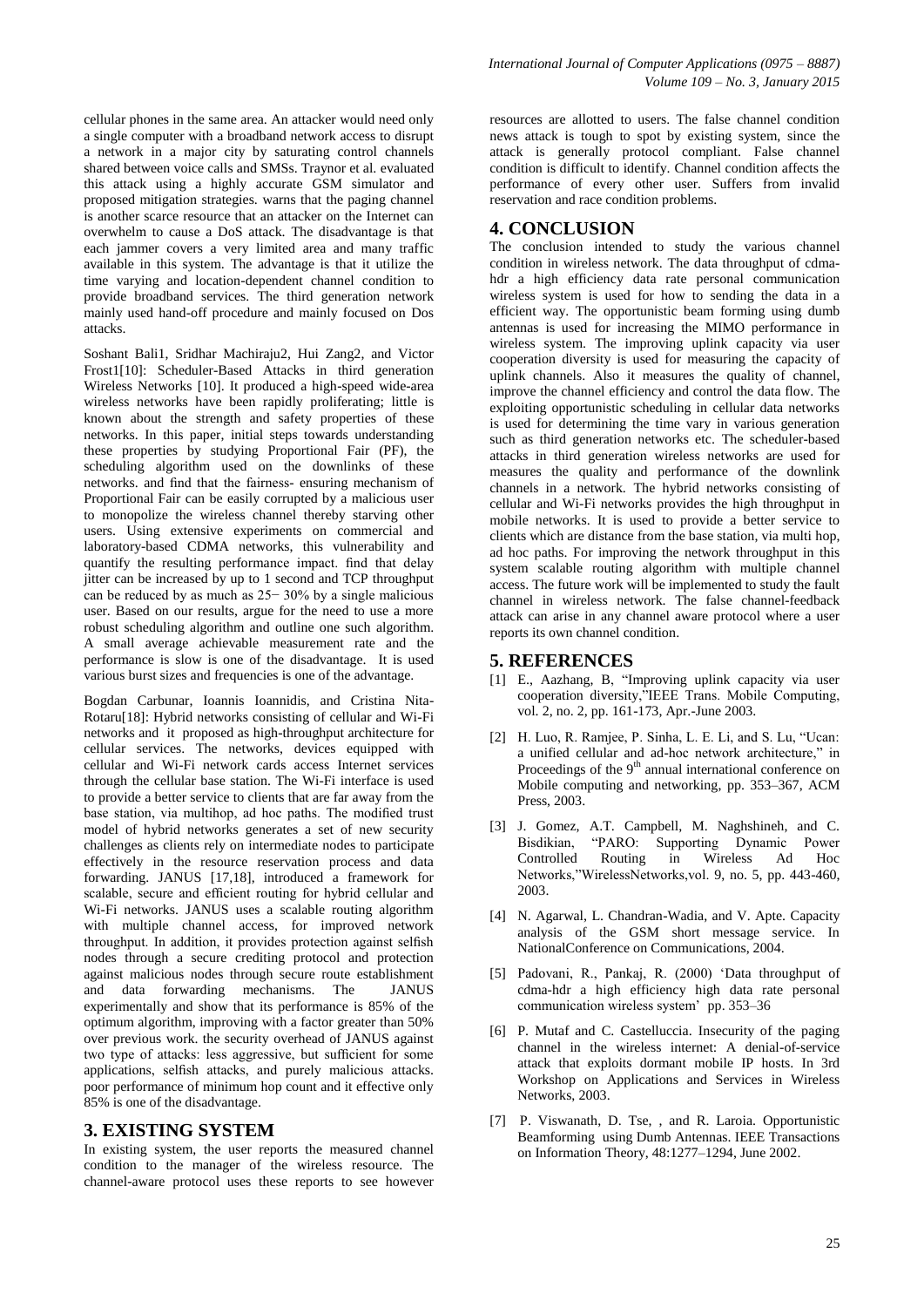cellular phones in the same area. An attacker would need only a single computer with a broadband network access to disrupt a network in a major city by saturating control channels shared between voice calls and SMSs. Traynor et al. evaluated this attack using a highly accurate GSM simulator and proposed mitigation strategies. warns that the paging channel is another scarce resource that an attacker on the Internet can overwhelm to cause a DoS attack. The disadvantage is that each jammer covers a very limited area and many traffic available in this system. The advantage is that it utilize the time varying and location-dependent channel condition to provide broadband services. The third generation network mainly used hand-off procedure and mainly focused on Dos attacks.

Soshant Bali1, Sridhar Machiraju2, Hui Zang2, and Victor Frost1[10]: Scheduler-Based Attacks in third generation Wireless Networks [10]. It produced a high-speed wide-area wireless networks have been rapidly proliferating; little is known about the strength and safety properties of these networks. In this paper, initial steps towards understanding these properties by studying Proportional Fair (PF), the scheduling algorithm used on the downlinks of these networks. and find that the fairness- ensuring mechanism of Proportional Fair can be easily corrupted by a malicious user to monopolize the wireless channel thereby starving other users. Using extensive experiments on commercial and laboratory-based CDMA networks, this vulnerability and quantify the resulting performance impact. find that delay jitter can be increased by up to 1 second and TCP throughput can be reduced by as much as 25− 30% by a single malicious user. Based on our results, argue for the need to use a more robust scheduling algorithm and outline one such algorithm. A small average achievable measurement rate and the performance is slow is one of the disadvantage. It is used various burst sizes and frequencies is one of the advantage.

Bogdan Carbunar, Ioannis Ioannidis, and Cristina Nita-Rotaru[18]: Hybrid networks consisting of cellular and Wi-Fi networks and it proposed as high-throughput architecture for cellular services. The networks, devices equipped with cellular and Wi-Fi network cards access Internet services through the cellular base station. The Wi-Fi interface is used to provide a better service to clients that are far away from the base station, via multihop, ad hoc paths. The modified trust model of hybrid networks generates a set of new security challenges as clients rely on intermediate nodes to participate effectively in the resource reservation process and data forwarding. JANUS [17,18], introduced a framework for scalable, secure and efficient routing for hybrid cellular and Wi-Fi networks. JANUS uses a scalable routing algorithm with multiple channel access, for improved network throughput. In addition, it provides protection against selfish nodes through a secure crediting protocol and protection against malicious nodes through secure route establishment and data forwarding mechanisms. The JANUS experimentally and show that its performance is 85% of the optimum algorithm, improving with a factor greater than 50% over previous work. the security overhead of JANUS against two type of attacks: less aggressive, but sufficient for some applications, selfish attacks, and purely malicious attacks. poor performance of minimum hop count and it effective only 85% is one of the disadvantage.

#### **3. EXISTING SYSTEM**

In existing system, the user reports the measured channel condition to the manager of the wireless resource. The channel-aware protocol uses these reports to see however resources are allotted to users. The false channel condition news attack is tough to spot by existing system, since the attack is generally protocol compliant. False channel condition is difficult to identify. Channel condition affects the performance of every other user. Suffers from invalid reservation and race condition problems.

#### **4. CONCLUSION**

The conclusion intended to study the various channel condition in wireless network. The data throughput of cdmahdr a high efficiency data rate personal communication wireless system is used for how to sending the data in a efficient way. The opportunistic beam forming using dumb antennas is used for increasing the MIMO performance in wireless system. The improving uplink capacity via user cooperation diversity is used for measuring the capacity of uplink channels. Also it measures the quality of channel, improve the channel efficiency and control the data flow. The exploiting opportunistic scheduling in cellular data networks is used for determining the time vary in various generation such as third generation networks etc. The scheduler-based attacks in third generation wireless networks are used for measures the quality and performance of the downlink channels in a network. The hybrid networks consisting of cellular and Wi-Fi networks provides the high throughput in mobile networks. It is used to provide a better service to clients which are distance from the base station, via multi hop, ad hoc paths. For improving the network throughput in this system scalable routing algorithm with multiple channel access. The future work will be implemented to study the fault channel in wireless network. The false channel-feedback attack can arise in any channel aware protocol where a user reports its own channel condition.

#### **5. REFERENCES**

- [1] E., Aazhang, B. "Improving uplink capacity via user cooperation diversity,"IEEE Trans. Mobile Computing, vol. 2, no. 2, pp. 161-173, Apr.-June 2003.
- [2] H. Luo, R. Ramjee, P. Sinha, L. E. Li, and S. Lu, "Ucan: a unified cellular and ad-hoc network architecture," in Proceedings of the  $9<sup>th</sup>$  annual international conference on Mobile computing and networking, pp. 353–367, ACM Press, 2003.
- [3] J. Gomez, A.T. Campbell, M. Naghshineh, and C. Bisdikian, "PARO: Supporting Dynamic Power Controlled Routing in Wireless Ad Hoc Networks,"WirelessNetworks,vol. 9, no. 5, pp. 443-460, 2003.
- [4] N. Agarwal, L. Chandran-Wadia, and V. Apte. Capacity analysis of the GSM short message service. In NationalConference on Communications, 2004.
- [5] Padovani, R., Pankaj, R. (2000) 'Data throughput of cdma-hdr a high efficiency high data rate personal communication wireless system' pp. 353–36
- [6] P. Mutaf and C. Castelluccia. Insecurity of the paging channel in the wireless internet: A denial-of-service attack that exploits dormant mobile IP hosts. In 3rd Workshop on Applications and Services in Wireless Networks, 2003.
- [7] P. Viswanath, D. Tse, , and R. Laroia. Opportunistic Beamforming using Dumb Antennas. IEEE Transactions on Information Theory, 48:1277–1294, June 2002.